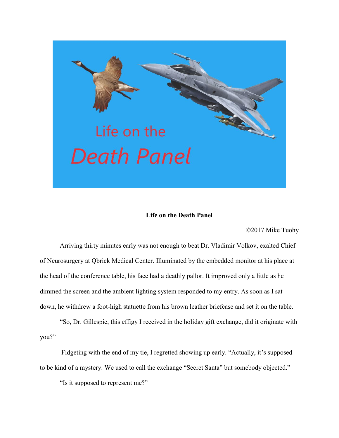

## Life on the Death Panel

©2017 Mike Tuohy

Arriving thirty minutes early was not enough to beat Dr. Vladimir Volkov, exalted Chief of Neurosurgery at Qbrick Medical Center. Illuminated by the embedded monitor at his place at the head of the conference table, his face had a deathly pallor. It improved only a little as he dimmed the screen and the ambient lighting system responded to my entry. As soon as I sat down, he withdrew a foot-high statuette from his brown leather briefcase and set it on the table.

"So, Dr. Gillespie, this effigy I received in the holiday gift exchange, did it originate with you?"

 Fidgeting with the end of my tie, I regretted showing up early. "Actually, it's supposed to be kind of a mystery. We used to call the exchange "Secret Santa" but somebody objected."

"Is it supposed to represent me?"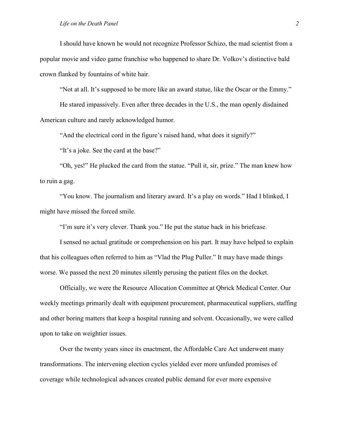I should have known he would not recognize Professor Schizo, the mad scientist from a popular movie and video game franchise who happened to share Dr. Volkov's distinctive bald crown flanked by fountains of white hair.

"Not at all. It's supposed to be more like an award statue, like the Oscar or the Emmy."

He stared impassively. Even after three decades in the U.S., the man openly disdained American culture and rarely acknowledged humor.

"And the electrical cord in the figure's raised hand, what does it signify?"

"It's a joke. See the card at the base?"

"Oh, yes!" He plucked the card from the statue. "Pull it, sir, prize." The man knew how to ruin a gag.

"You know. The journalism and literary award. It's a play on words." Had I blinked, I might have missed the forced smile.

"I'm sure it's very clever. Thank you." He put the statue back in his briefcase.

I sensed no actual gratitude or comprehension on his part. It may have helped to explain that his colleagues often referred to him as "Vlad the Plug Puller." It may have made things worse. We passed the next 20 minutes silently perusing the patient files on the docket.

Officially, we were the Resource Allocation Committee at Qbrick Medical Center. Our weekly meetings primarily dealt with equipment procurement, pharmaceutical suppliers, staffing and other boring matters that keep a hospital running and solvent. Occasionally, we were called upon to take on weightier issues.

Over the twenty years since its enactment, the Affordable Care Act underwent many transformations. The intervening election cycles yielded ever more unfunded promises of coverage while technological advances created public demand for ever more expensive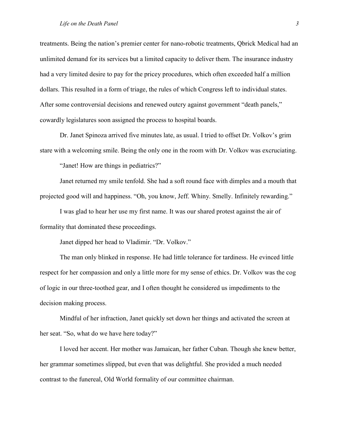## Life on the Death Panel 3

treatments. Being the nation's premier center for nano-robotic treatments, Qbrick Medical had an unlimited demand for its services but a limited capacity to deliver them. The insurance industry had a very limited desire to pay for the pricey procedures, which often exceeded half a million dollars. This resulted in a form of triage, the rules of which Congress left to individual states. After some controversial decisions and renewed outcry against government "death panels," cowardly legislatures soon assigned the process to hospital boards.

Dr. Janet Spinoza arrived five minutes late, as usual. I tried to offset Dr. Volkov's grim stare with a welcoming smile. Being the only one in the room with Dr. Volkov was excruciating.

"Janet! How are things in pediatrics?"

Janet returned my smile tenfold. She had a soft round face with dimples and a mouth that projected good will and happiness. "Oh, you know, Jeff. Whiny. Smelly. Infinitely rewarding."

I was glad to hear her use my first name. It was our shared protest against the air of formality that dominated these proceedings.

Janet dipped her head to Vladimir. "Dr. Volkov."

The man only blinked in response. He had little tolerance for tardiness. He evinced little respect for her compassion and only a little more for my sense of ethics. Dr. Volkov was the cog of logic in our three-toothed gear, and I often thought he considered us impediments to the decision making process.

Mindful of her infraction, Janet quickly set down her things and activated the screen at her seat. "So, what do we have here today?"

I loved her accent. Her mother was Jamaican, her father Cuban. Though she knew better, her grammar sometimes slipped, but even that was delightful. She provided a much needed contrast to the funereal, Old World formality of our committee chairman.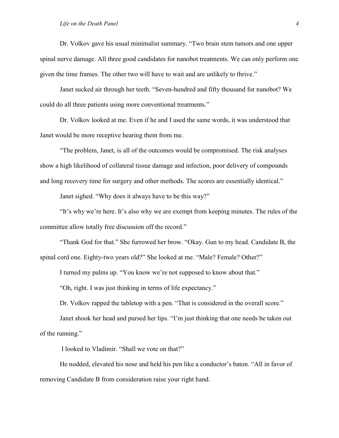Dr. Volkov gave his usual minimalist summary. "Two brain stem tumors and one upper spinal nerve damage. All three good candidates for nanobot treatments. We can only perform one given the time frames. The other two will have to wait and are unlikely to thrive."

Janet sucked air through her teeth. "Seven-hundred and fifty thousand for nanobot? We could do all three patients using more conventional treatments."

Dr. Volkov looked at me. Even if he and I used the same words, it was understood that Janet would be more receptive hearing them from me.

"The problem, Janet, is all of the outcomes would be compromised. The risk analyses show a high likelihood of collateral tissue damage and infection, poor delivery of compounds and long recovery time for surgery and other methods. The scores are essentially identical."

Janet sighed. "Why does it always have to be this way?"

"It's why we're here. It's also why we are exempt from keeping minutes. The rules of the committee allow totally free discussion off the record."

"Thank God for that." She furrowed her brow. "Okay. Gun to my head. Candidate B, the spinal cord one. Eighty-two years old?" She looked at me. "Male? Female? Other?"

I turned my palms up. "You know we're not supposed to know about that."

"Oh, right. I was just thinking in terms of life expectancy."

Dr. Volkov rapped the tabletop with a pen. "That is considered in the overall score."

Janet shook her head and pursed her lips. "I'm just thinking that one needs be taken out of the running."

I looked to Vladimir. "Shall we vote on that?"

He nodded, elevated his nose and held his pen like a conductor's baton. "All in favor of removing Candidate B from consideration raise your right hand.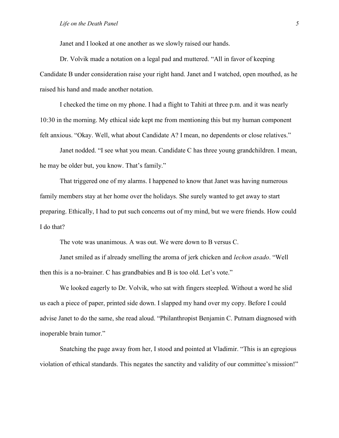Janet and I looked at one another as we slowly raised our hands.

Dr. Volvik made a notation on a legal pad and muttered. "All in favor of keeping Candidate B under consideration raise your right hand. Janet and I watched, open mouthed, as he raised his hand and made another notation.

I checked the time on my phone. I had a flight to Tahiti at three p.m. and it was nearly 10:30 in the morning. My ethical side kept me from mentioning this but my human component felt anxious. "Okay. Well, what about Candidate A? I mean, no dependents or close relatives."

Janet nodded. "I see what you mean. Candidate C has three young grandchildren. I mean, he may be older but, you know. That's family."

That triggered one of my alarms. I happened to know that Janet was having numerous family members stay at her home over the holidays. She surely wanted to get away to start preparing. Ethically, I had to put such concerns out of my mind, but we were friends. How could I do that?

The vote was unanimous. A was out. We were down to B versus C.

Janet smiled as if already smelling the aroma of jerk chicken and *lechon asado*. "Well then this is a no-brainer. C has grandbabies and B is too old. Let's vote."

We looked eagerly to Dr. Volvik, who sat with fingers steepled. Without a word he slid us each a piece of paper, printed side down. I slapped my hand over my copy. Before I could advise Janet to do the same, she read aloud. "Philanthropist Benjamin C. Putnam diagnosed with inoperable brain tumor."

Snatching the page away from her, I stood and pointed at Vladimir. "This is an egregious violation of ethical standards. This negates the sanctity and validity of our committee's mission!"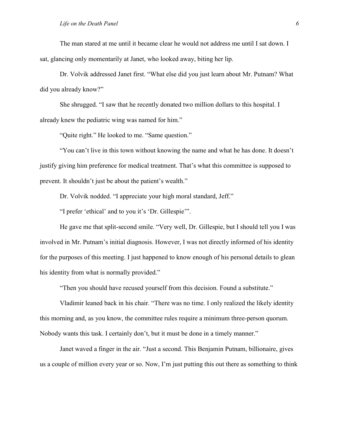## Life on the Death Panel 6 and  $\frac{1}{6}$  6 and  $\frac{1}{6}$  6 and  $\frac{1}{6}$  6 and  $\frac{1}{6}$  6 and  $\frac{1}{6}$  6 and  $\frac{1}{6}$  6 and  $\frac{1}{6}$  6 and  $\frac{1}{6}$  6 and  $\frac{1}{6}$  6 and  $\frac{1}{6}$  6 and  $\frac{1}{6}$  6 and  $\frac{1}{6}$  6 and

The man stared at me until it became clear he would not address me until I sat down. I sat, glancing only momentarily at Janet, who looked away, biting her lip.

Dr. Volvik addressed Janet first. "What else did you just learn about Mr. Putnam? What did you already know?"

She shrugged. "I saw that he recently donated two million dollars to this hospital. I already knew the pediatric wing was named for him."

"Quite right." He looked to me. "Same question."

"You can't live in this town without knowing the name and what he has done. It doesn't justify giving him preference for medical treatment. That's what this committee is supposed to prevent. It shouldn't just be about the patient's wealth."

Dr. Volvik nodded. "I appreciate your high moral standard, Jeff."

"I prefer 'ethical' and to you it's 'Dr. Gillespie'".

He gave me that split-second smile. "Very well, Dr. Gillespie, but I should tell you I was involved in Mr. Putnam's initial diagnosis. However, I was not directly informed of his identity for the purposes of this meeting. I just happened to know enough of his personal details to glean his identity from what is normally provided."

"Then you should have recused yourself from this decision. Found a substitute."

Vladimir leaned back in his chair. "There was no time. I only realized the likely identity this morning and, as you know, the committee rules require a minimum three-person quorum. Nobody wants this task. I certainly don't, but it must be done in a timely manner."

Janet waved a finger in the air. "Just a second. This Benjamin Putnam, billionaire, gives us a couple of million every year or so. Now, I'm just putting this out there as something to think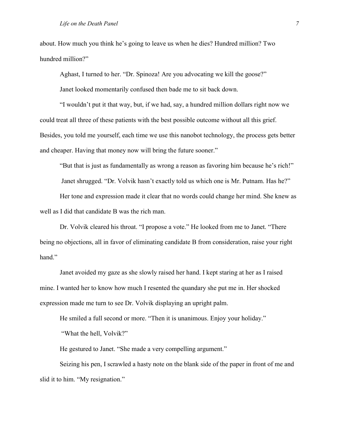about. How much you think he's going to leave us when he dies? Hundred million? Two hundred million?"

Aghast, I turned to her. "Dr. Spinoza! Are you advocating we kill the goose?"

Janet looked momentarily confused then bade me to sit back down.

"I wouldn't put it that way, but, if we had, say, a hundred million dollars right now we could treat all three of these patients with the best possible outcome without all this grief. Besides, you told me yourself, each time we use this nanobot technology, the process gets better and cheaper. Having that money now will bring the future sooner."

"But that is just as fundamentally as wrong a reason as favoring him because he's rich!"

Janet shrugged. "Dr. Volvik hasn't exactly told us which one is Mr. Putnam. Has he?"

Her tone and expression made it clear that no words could change her mind. She knew as well as I did that candidate B was the rich man.

Dr. Volvik cleared his throat. "I propose a vote." He looked from me to Janet. "There being no objections, all in favor of eliminating candidate B from consideration, raise your right hand."

Janet avoided my gaze as she slowly raised her hand. I kept staring at her as I raised mine. I wanted her to know how much I resented the quandary she put me in. Her shocked expression made me turn to see Dr. Volvik displaying an upright palm.

He smiled a full second or more. "Then it is unanimous. Enjoy your holiday."

"What the hell, Volvik?"

He gestured to Janet. "She made a very compelling argument."

Seizing his pen, I scrawled a hasty note on the blank side of the paper in front of me and slid it to him. "My resignation."